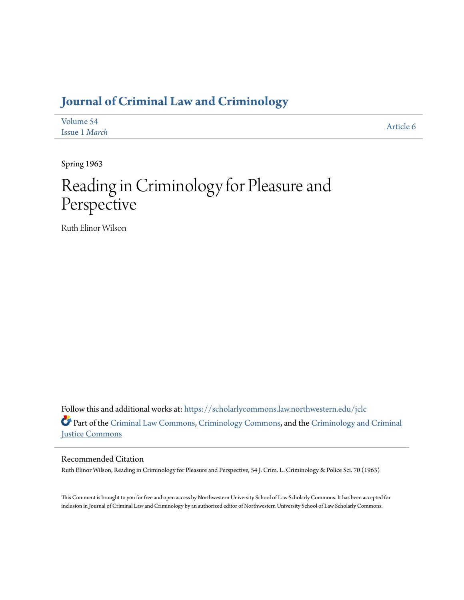# **[Journal of Criminal Law and Criminology](https://scholarlycommons.law.northwestern.edu/jclc?utm_source=scholarlycommons.law.northwestern.edu%2Fjclc%2Fvol54%2Fiss1%2F6&utm_medium=PDF&utm_campaign=PDFCoverPages)**

| Volume 54     | Article 6 |
|---------------|-----------|
| Issue 1 March |           |

Spring 1963

# Reading in Criminology for Pleasure and Perspective

Ruth Elinor Wilson

Follow this and additional works at: [https://scholarlycommons.law.northwestern.edu/jclc](https://scholarlycommons.law.northwestern.edu/jclc?utm_source=scholarlycommons.law.northwestern.edu%2Fjclc%2Fvol54%2Fiss1%2F6&utm_medium=PDF&utm_campaign=PDFCoverPages) Part of the [Criminal Law Commons](http://network.bepress.com/hgg/discipline/912?utm_source=scholarlycommons.law.northwestern.edu%2Fjclc%2Fvol54%2Fiss1%2F6&utm_medium=PDF&utm_campaign=PDFCoverPages), [Criminology Commons](http://network.bepress.com/hgg/discipline/417?utm_source=scholarlycommons.law.northwestern.edu%2Fjclc%2Fvol54%2Fiss1%2F6&utm_medium=PDF&utm_campaign=PDFCoverPages), and the [Criminology and Criminal](http://network.bepress.com/hgg/discipline/367?utm_source=scholarlycommons.law.northwestern.edu%2Fjclc%2Fvol54%2Fiss1%2F6&utm_medium=PDF&utm_campaign=PDFCoverPages) [Justice Commons](http://network.bepress.com/hgg/discipline/367?utm_source=scholarlycommons.law.northwestern.edu%2Fjclc%2Fvol54%2Fiss1%2F6&utm_medium=PDF&utm_campaign=PDFCoverPages)

## Recommended Citation

Ruth Elinor Wilson, Reading in Criminology for Pleasure and Perspective, 54 J. Crim. L. Criminology & Police Sci. 70 (1963)

This Comment is brought to you for free and open access by Northwestern University School of Law Scholarly Commons. It has been accepted for inclusion in Journal of Criminal Law and Criminology by an authorized editor of Northwestern University School of Law Scholarly Commons.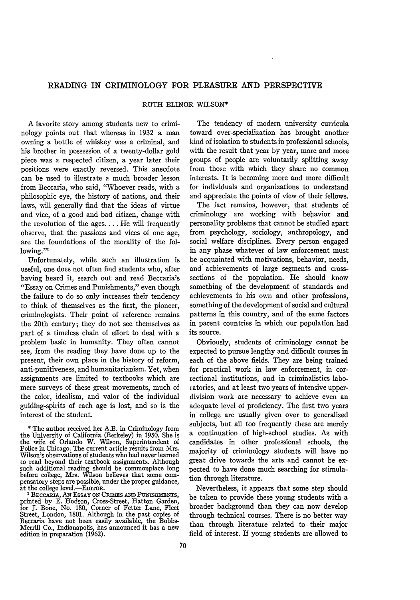### **READING IN CRIMINOLOGY FOR PLEASURE AND PERSPECTIVE**

#### RUTH ELINOR WILSON\*

A favorite story among students new to criminology points out that whereas in 1932 a man owning a bottle of whiskey was a criminal, and his brother in possession of a twenty-dollar gold piece was a respected citizen, a year later their positions were exactly reversed. This anecdote can be used to illustrate a much broader lesson from Beccaria, who said, "Whoever reads, with a philosophic eye, the history of nations, and their laws, will generally find that the ideas of virtue and vice, of a good and bad citizen, change with the revolution of the ages.... He will frequently observe, that the passions and vices of one age, are the foundations of the morality of the following."<sup>1</sup>

Unfortunately, while such an illustration is useful, one does not often find students who, after having heard it, search out and read Beccaria's "Essay on Crimes and Punishments," even though the failure to do so only increases their tendency to think of themselves as the first, the pioneer, criminologists. Their point of reference remains the 20th century; they do not see themselves as part of a timeless chain of effort to deal with a problem basic in humanity. They often cannot see, from the reading they have done up to the present, their own place in the history of reform, anti-punitiveness, and humanitarianism. Yet, when assignments are limited to textbooks which are mere surveys of these great movements, much of the color, idealism, and valor of the individual guiding-spirits of each age is lost, and so is the interest of the student.

printed by E. Hodson, Cross-Street, Hatton Garden, for J. Bone, No. 180, Comer of Fetter Lane, Fleet Street, London, 1801. Although in the past copies of Beccaria have not been easily available, the Bobbs-Merrill Co., Indianapolis, has announced it has a new edition in preparation (1962).

The tendency of modern university curricula toward over-specialization has brought another kind of isolation to students in professional schools, with the result that year by year, more and more groups of people are voluntarily splitting away from those with which they share no common interests. It is becoming more and more difficult for individuals and organizations to understand and appreciate the points of view of their fellows.

The fact remains, however, that students of criminology are working with bebavior and personality problems that cannot be studied apart from psychology, sociology, anthropology, and social welfare disciplines. Every person engaged in any phase whatever of law enforcement must be acquainted with motivations, behavior, needs, and achievements of large segments and crosssections of the population. He should know something of the development of standards and achievements in his own and other professions, something of the development of social and cultural patterns in this country, and of the same factors in parent countries in which our population had its source.

Obviously, students of criminology cannot be expected to pursue lengthy and difficult courses in each of the above fields. They are being trained for practical work in law enforcement, in correctional institutions, and in criminalistics laboratories, and at least two years of intensive upperdivision work are necessary to achieve even an adequate level ot proficiency. The first two years in college are usually given over to generalized subjects, but all too frequently these are merely a continuation of high-school studies. As with candidates in other professional schools, the majority of criminology students will have no great drive towards the arts and cannot be expected to have done much searching for stimulation through literature.

Nevertheless, it appears that some step should be taken to provide these young students with a broader background than they can now develop through technical courses. There is no better way than through literature related to their major field of interest. If young students are allowed to

The author received her A.B. in Criminology from the University of California (Berkeley) in 1950. She is the wife of Orlando W. Wilson, Superintendent of Police in Chicago. The current article results from Mrs. Wilson's observations of students who had never learned to read beyond their textbook assignments. Although such additional reading should be commonplace long before college, Mrs. Wilson believes that some com-**ISLAM AND A COLLEGE LEVEL.**<br> **I BECCARIA, AN ESSAY ON CRIMES AND PUNISHMENTS**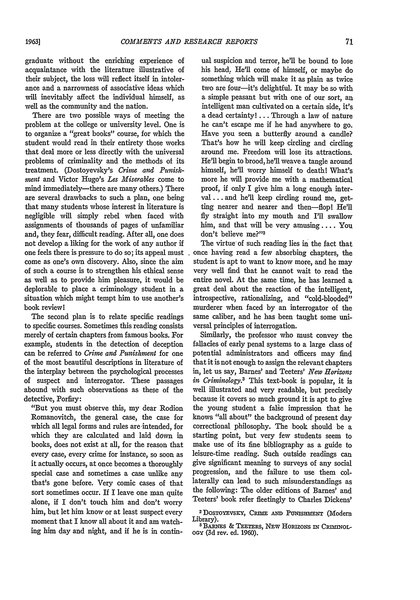graduate without the enriching experience of acquaintance with the literature illustrative of their subject, the loss will reflect itself in intolerance and a narrowness of associative ideas which will inevitably affect the individual himself, as well as the community and the nation.

There are two possible ways of meeting the problem at the college or university level. One is to organize a "great books" course, for which the student would read in their entirety those works that deal more or less directly with the universal problems of criminality and the methods of its treatment. (Dostoyevsky's *Crime and Plnishment* and Victor Hugo's *Les Miserables* come to mind immediately-there are many others.) There are several drawbacks to such a plan, one being that many students whose interest in literature is negligible will simply rebel when faced with assignments of thousands of pages of unfamiliar and, they fear, difficult reading. **After** all, one does not develop a liking for the work of any author if one feels there is pressure to do so; its appeal must come as one's own discovery. Also, since the aim of such a course is to strengthen his ethical sense as well as to provide him pleasure, it would be deplorable to place a criminology student in a situation which might tempt him to use another's book review!

The second plan is to relate specific readings to specific courses. Sometimes this reading consists merely of certain chapters from famous books. For example, students in the detection of deception can be referred to *Crime and Punishment* for one of the most beautiful descriptions in literature of the interplay between the psychological processes of suspect and interrogator. These passages abound with such observations as these of the detective, Porfiry:

"But you must observe this, my dear Rodion Romanovitch, the general case, the case for which all legal forms and rules are intended, for which they are calculated and laid down in books, does not exist at all, for the reason that every case, every crime for instance, so soon as it actually occurs, at once becomes a thoroughly special case and sometimes a case unlike any that's gone before. Very comic cases of that sort sometimes occur. If I leave one man quite alone, if I don't touch him and don't worry him, but let him know or at least suspect every moment that I know all about it and am watching him day and night, and if he is in contin-

ual suspicion and terror, he'll be bound to lose his head: He'll come of himself, or maybe do something which will make it as plain as twice two are four-it's delightful. It may be so with a simple peasant but with one of our sort, an intelligent man cultivated on a certain side, it's a dead certainty! ... Through a law of nature he can't escape me if he had anywhere to go. Have you seen a butterfly around a candle? That's how he will keep circling and circling around me. Freedom will lose its attractions. He'll begin to brood, he'll weave a tangle around himself, he'll worry himself to death! What's more he will provide me with a mathematical proof, if only I give him a long enough interval **...** and he'll keep circling round me, getting nearer and nearer and then-flop! He'll fly straight into my mouth and I'll swallow him, and that will be very amusing .... You don't believe me?"2

The virtue of such reading lies in the fact that once having read a few absorbing chapters, the student is apt to want to know more, and he may very well find that he cannot wait to read the entire novel. At the same time, he has learned a great deal about the reaction of the intelligent, introspective, rationalizing, and "cold-blooded" murderer when faced by an interrogator of the same caliber, and he has been taught some universal principles of interrogation.

Similarly, the professor who must convey the fallacies of early penal systems to a large class of potential administrators and officers may find that it is not enough to assign the relevant chapters in, let us say, Barnes' and Teeters' *New Horizons in Criminology.3* This text-book is popular, it is well illustrated and very readable, but precisely because it covers so much ground it is apt to give the young student a falie impression that he knows "all about" the background of present day correctional philosophy. The book should be a starting point, but very few students seem to make use of its fine bibliography as a guide to leisure-time reading. Such outside readings can give significant meaning to surveys of any social progression, and the failure to use them collaterally can lead to such misunderstandings as the following: The older editions of Barnes' and Teeters' book refer fleetingly to Charles Dickens'

<sup>&</sup>lt;sup>2</sup> DOSTOYEVSKY, CRIME AND PUNISHMENT (Modern Library). **3** BAR.NEs & TEETERS, NEW HORIZONs **IN** CRIMNOL-

**ooY** (3d rev. ed. 1960).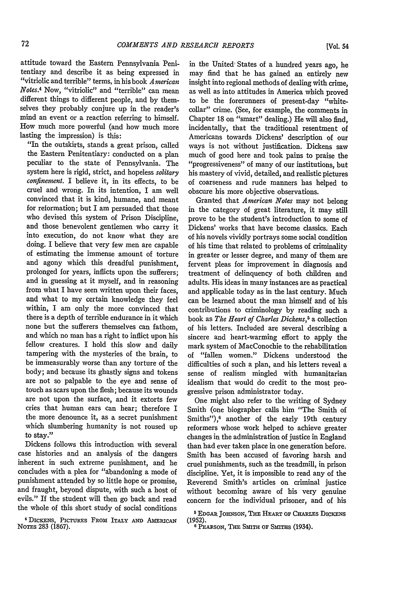attitude toward the Eastern Pennsylvania Penitentiary and describe it as being expressed in "vitriolic and terrible" terms, in his book *American Notes.4* Now, "vitriolic" and "terrible" can mean different things to different people, and by themselves they probably conjure up in the reader's mind an event or a reaction referring to himself. How much more powerful (and how much more lasting the impression) is this:

"In the outskirts, stands a great prison, called the Eastern Penitentiary: conducted on a plan peculiar to the state of Pennsylvania. The system here is rigid, strict, and hopeless *solitary confinement*. I believe it, in its effects, to be cruel and wrong. In its intention, I am well convinced that it is kind, humane, and meant for reformation; but I am persuaded that those who devised this system of Prison Discipline, and those benevolent gentlemen who carry it into execution, do not know what they are doing. I believe that very few men are capable of estimating the immense amount of torture and agony which this dreadful punishment, prolonged for years, inflicts upon the sufferers; and in guessing at it myself, and in reasoning from what I have seen written upon their faces, and what to my certain knowledge they feel within, I am only the more convinced that there is a depth of terrible endurance in it which none but the sufferers themselves can fathom, and which no man has a right to inflict upon his fellow creatures. I hold this slow and daily tampering with the mysteries of the brain, to be immeasurably worse than any torture of the body; and because its ghastly signs and tokens are not so palpable to the eye and sense of touch as scars upon the flesh; because its wounds are not upon the surface, and it extorts few cries that human ears can hear; therefore I the more denounce it, as a secret punishment which slumbering humanity is not roused up to stay."

Dickens follows this introduction with several case histories and an analysis of the dangers inherent in such extreme punishment, and he concludes with a plea for "abandoning a mode of punishment attended by so little hope or promise, and fraught, beyond dispute, with such a host of evils." If the student will then go back and read the whole of this short study of social conditions

4 DIcKENs, PIcTURES FROM ITALY **AND** AmERIcAN NOTES 283 (1867).

in the United' States of a hundred years ago, he may find that he has gained an entirely new insight into regional methods of dealing with crime, as well as into attitudes in America which proved to be the forerunners of present-day "whitecollar" crime. (See, for example, the comments in Chapter 18 on "smart" dealing.) He will also find, incidentally, that the traditional resentment of Americans towards Dickens' description of our ways is not without justification. Dickens saw much of good here and took pains to praise the "progressiveness" of many of our institutions, but his mastery of vivid, detailed, and realistic pictures of coarseness and rude manners has helped to obscure his more objective observations.

Granted that *American Notes* may not belong in the category of great literature, it may still prove to be the student's introduction to some of Dickens' works that have become classics. Each of his novels vividly portrays some social condition of his time that related to problems of criminality in greater or lesser degree, and many of them are fervent pleas for improvement in diagnosis and treatment of delinquency of both children and adults. His ideas in many instances are as practical and applicable today as in the last century. Much can be learned about the man himself and of his contributions to criminology by reading such a book as *The Heart of Charles Dickens*,<sup>5</sup> a collection of his letters. Included are several describing a sincere and heart-warming effort to apply the mark system of MacConochie to the rehabilitation of "fallen women." Dickens understood the difficulties of such a plan, and his letters reveal a sense of realism mingled with humanitarian idealism that would do credit to the most progressive prison administrator today.

One might also refer to the writing of Sydney Smith (one biographer calls him "The Smith of Smiths"),<sup>6</sup> another of the early 19th century reformers whose work helped to achieve greater changes in the administration of justice in England than had ever taken place in one generation before. Smith has been accused of favoring harsh and cruel punishments, such as the treadmill, in prison discipline. Yet, it is impossible to read any of the Reverend Smith's articles on criminal justice without becoming aware of his very genuine concern for the individual prisoner, and of his

<sup>5</sup> EDGAR JOHNSON, THE HEART OF CHARLES DICKENS (1952).

**(1952). 6 PEARSON, THm SmTH** OF SmITms (1934).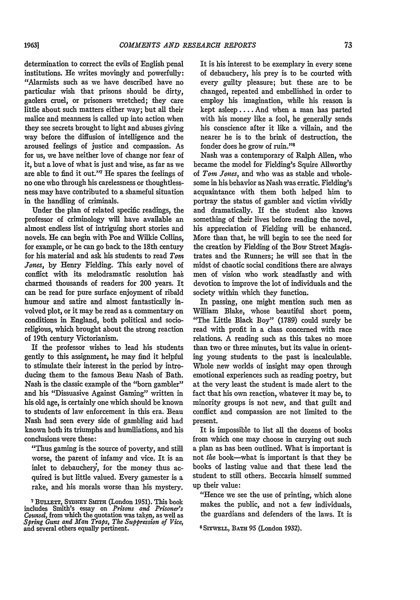determination to correct the evils of English penal institutions. He writes movingly and powerfully: "Alarmists such as we have described have no particular wish that prisons should be dirty, gaolers cruel, or prisoners wretched; they care little about such matters either way; but all their malice and meanness is called up into action when they see secrets brought to light and abuses giving way before the diffusion of intelligence and the aroused feelings of justice and compassion. As for us, we have neither love of change nor fear of it, but a love of what is just and wise, as far as we are able to find it out."7 He spares the feelings of no one who through his carelessness or thoughtlessness may have contributed to a shameful situation in the handling of criminals.

Under the plan of related specific readings, the professor of criminology will have available an almost endless list of intriguing short stories and novels. He can begin with Poe and Wilkie Collins, for example, or he can go back to the 18th century for his material and ask his students to read *Torn Jones,* **by** Henry Fielding. This early novel of conflict with its melodramatic resolution ha charmed thousands of readers for 200 years. It can be read for pure surface enjoyment of ribald humour and satire and almost fantastically involved plot, or it may be read as a commentary on conditions in England, both political and socioreligious, which brought about the strong reaction of 19th century Victorianism.

If the professor wishes to lead his students gently to this assignment, he may find it helpful to stimulate their interest in the period **by** introducing them to the famous Beau Nash of Bath. Nash is the classic example of the "born gambler" and his "Dissuasive Against Gaming" written in his old age, is certainly one which should be known to students of law enforcement in this era. Beau Nash had seen every side of gambling and had known both its triumphs and humiliations, and his conclusions were these:

"Thus gaming is the source of poverty, and still worse, the parent of infamy and vice. It is an inlet to debauchery, for the money thus acquired is but little valued. Every gamester is a rake, and his morals worse than his mystery. It is his interest to be exemplary in every scene of debauchery, his prey is to be courted with every guilty pleasure; but these are to be changed, repeated and embellished in order to employ his imagination, while his reason is kept asleep **....** And when a man has parted with his money like a fool, he generally sends his conscience after it like a villain, and the nearer he is to the brink of destruction, the fonder does he grow of ruin."<sup>s</sup>

Nash was a contemporary of Ralph Allen, who became the model for Fielding's Squire Allworthy of Tom Jones, and who was as stable and wholesome in his behavior as Nash was erratic. Fielding's acquaintance with them both helped him to portray the status of gambler and victim vividly and dramatically. If the student also knows something of their lives before reading the novel, his appreciation of Fielding will be enhanced. More than that, he will begin to see the need for the creation **by** Fielding of the Bow Street Magistrates and the Runners; he will see that in the midst of chaotic social conditions there are always men of vision who work steadfastly and with devotion to improve the lot of individuals and the society within which they function.

In passing, one might mention such men as William Blake, whose beautiful short poem, "The Little Black Boy" (1789) could surely be read with profit in a class concerned with race relations. **A** reading such as this takes no more than two or three minutes, but its value in orienting young students to the past is incalculable. Whole new worlds of insight may open through emotional experiences such as reading poetry, but at the very least the student is made alert to the fact that his own reaction, whatever it may be, to minority groups is not new, and that guilt and conflict and compassion are not limited to the present.

It is impossible to list all the dozens of books from which one may choose in carrying out such a plan as has been outlined. What is important is not *the* book-what is important is that they be books of lasting value and that these lead the student to still others. Beccaria himself summed up their value:

"Hence we see the use of printing, which alone makes the public, and not a few individuals, the guardians and defenders of the laws. It is

**<sup>8</sup>**SirwEzL, BATH 95 (London 1932).

<sup>&</sup>lt;sup>7</sup> BULLETT, SYDNEY SMITH (London 1951). This book includes Smith's essay on *Prisons and Prisoner's Counsel,* from which the quotation was taken, as well as *Spring Guns and Man Traps, The Suppression of Vice,* Spring Guns and Man Traps, The Suppression of Vice, and several others equally pertinent.